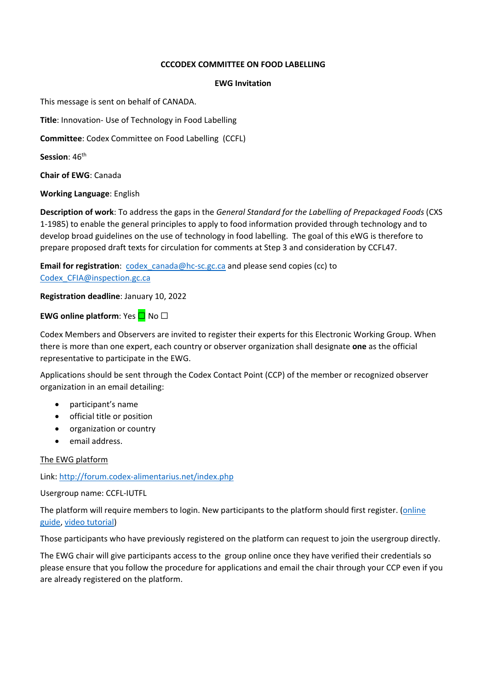#### **CCCODEX COMMITTEE ON FOOD LABELLING**

#### **EWG Invitation**

This message is sent on behalf of CANADA.

**Title**: Innovation‐ Use of Technology in Food Labelling

**Committee**: Codex Committee on Food Labelling(CCFL)

Session: 46<sup>th</sup>

**Chair of EWG**: Canada

**Working Language**: English

**Description of work**: To address the gaps in the *General Standard for the Labelling of Prepackaged Foods* (CXS 1‐1985) to enable the general principles to apply to food information provided through technology and to develop broad guidelines on the use of technology in food labelling. The goal of this eWG is therefore to prepare proposed draft texts for circulation for comments at Step 3 and consideration by CCFL47.

**Email for registration:** codex canada@hc-sc.gc.ca and please send copies (cc) to Codex\_CFIA@inspection.gc.ca

**Registration deadline**: January 10, 2022

# **EWG** online platform: Yes **□** No □

Codex Members and Observers are invited to register their experts for this Electronic Working Group. When there is more than one expert, each country or observer organization shall designate **one** as the official representative to participate in the EWG.

Applications should be sent through the Codex Contact Point (CCP) of the member or recognized observer organization in an email detailing:

- participant's name
- **•** official title or position
- organization or country
- email address.

## The EWG platform

## Link: http://forum.codex‐alimentarius.net/index.php

## Usergroup name: CCFL‐IUTFL

The platform will require members to login. New participants to the platform should first register. (online guide, video tutorial)

Those participants who have previously registered on the platform can request to join the usergroup directly.

The EWG chair will give participants access to the group online once they have verified their credentials so please ensure that you follow the procedure for applications and email the chair through your CCP even if you are already registered on the platform.